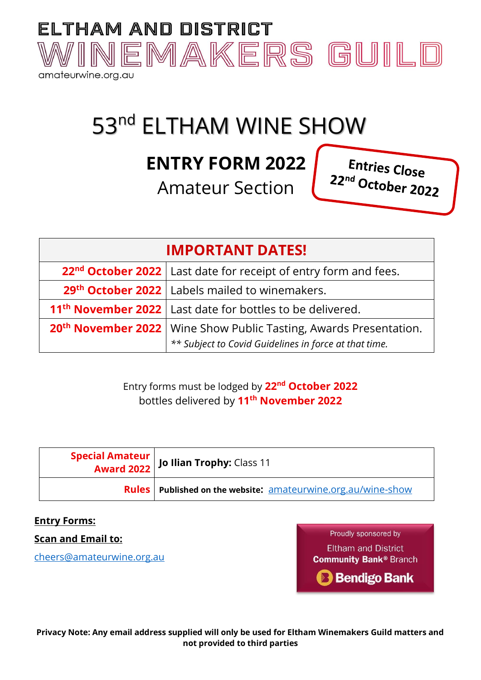

# 53<sup>nd</sup> ELTHAM WINE SHOW

## **ENTRY FORM 2022**

Amateur Section

Entries Close 22nd October 2022

### **IMPORTANT DATES!**

| 22 <sup>nd</sup> October 2022   Last date for receipt of entry form and fees.   |
|---------------------------------------------------------------------------------|
| 29 <sup>th</sup> October 2022   Labels mailed to winemakers.                    |
| 11 <sup>th</sup> November 2022   Last date for bottles to be delivered.         |
| 20 <sup>th</sup> November 2022   Wine Show Public Tasting, Awards Presentation. |
| ** Subject to Covid Guidelines in force at that time.                           |

#### Entry forms must be lodged by **22 nd October 2022** bottles delivered by **11 th November 2022**

| <b>Special Amateur   Jo Ilian Trophy:</b> Class 11                    |
|-----------------------------------------------------------------------|
| <b>Rules</b>   Published on the website: amateurwine.org.au/wine-show |

#### **Entry Forms:**

**Scan and Email to:** 

[cheers@amateurwine.org.au](mailto:cheers@amateurwine.org.au) 

Proudly sponsored by **Eltham and District Community Bank® Branch B** Bendigo Bank

**Privacy Note: Any email address supplied will only be used for Eltham Winemakers Guild matters and not provided to third parties**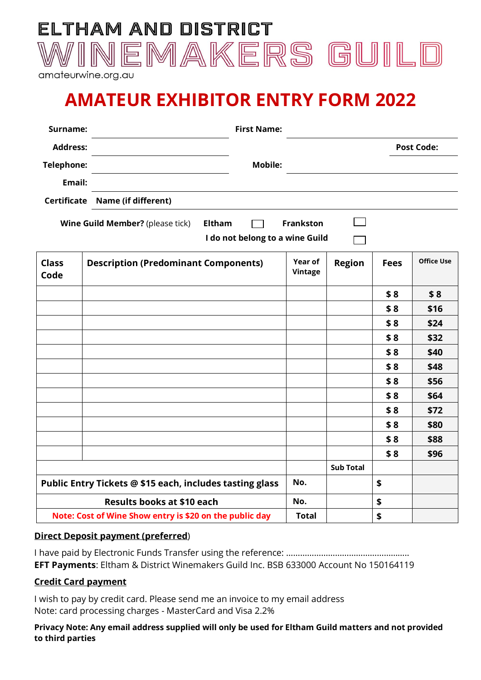

amateurwine.org.au

## **AMATEUR EXHIBITOR ENTRY FORM 2022**

| Surname:             | <b>First Name:</b>                                       |                    |                  |             |                   |
|----------------------|----------------------------------------------------------|--------------------|------------------|-------------|-------------------|
| <b>Address:</b>      |                                                          |                    |                  |             | <b>Post Code:</b> |
| <b>Telephone:</b>    | <b>Mobile:</b>                                           |                    |                  |             |                   |
| Email:               |                                                          |                    |                  |             |                   |
| <b>Certificate</b>   | Name (if different)                                      |                    |                  |             |                   |
|                      | Wine Guild Member? (please tick)<br><b>Eltham</b>        | <b>Frankston</b>   |                  |             |                   |
|                      | I do not belong to a wine Guild                          |                    |                  |             |                   |
| <b>Class</b><br>Code | <b>Description (Predominant Components)</b>              | Year of<br>Vintage | <b>Region</b>    | <b>Fees</b> | <b>Office Use</b> |
|                      |                                                          |                    |                  | \$8         | \$8               |
|                      |                                                          |                    |                  | \$8         | \$16              |
|                      |                                                          |                    |                  | \$8         | \$24              |
|                      |                                                          |                    |                  | \$8         | \$32              |
|                      |                                                          |                    |                  | \$8         | \$40              |
|                      |                                                          |                    |                  | \$8         | \$48              |
|                      |                                                          |                    |                  | \$8         | \$56              |
|                      |                                                          |                    |                  | \$8         | \$64              |
|                      |                                                          |                    |                  | \$8         | \$72              |
|                      |                                                          |                    |                  | \$8         | \$80              |
|                      |                                                          |                    |                  | \$8         | \$88              |
|                      |                                                          |                    |                  | \$8         | \$96              |
|                      |                                                          |                    | <b>Sub Total</b> |             |                   |
|                      | Public Entry Tickets @ \$15 each, includes tasting glass | No.                |                  | \$          |                   |
|                      | <b>Results books at \$10 each</b>                        | No.                |                  | \$          |                   |

#### **Direct Deposit payment (preferred**)

I have paid by Electronic Funds Transfer using the reference: …………………………………………….. **EFT Payments**: Eltham & District Winemakers Guild Inc. BSB 633000 Account No 150164119

**Note: Cost of Wine Show entry is \$20 on the public day** Total  $\vert$  Total

#### **Credit Card payment**

I wish to pay by credit card. Please send me an invoice to my email address Note: card processing charges - MasterCard and Visa 2.2%

**Privacy Note: Any email address supplied will only be used for Eltham Guild matters and not provided to third parties**